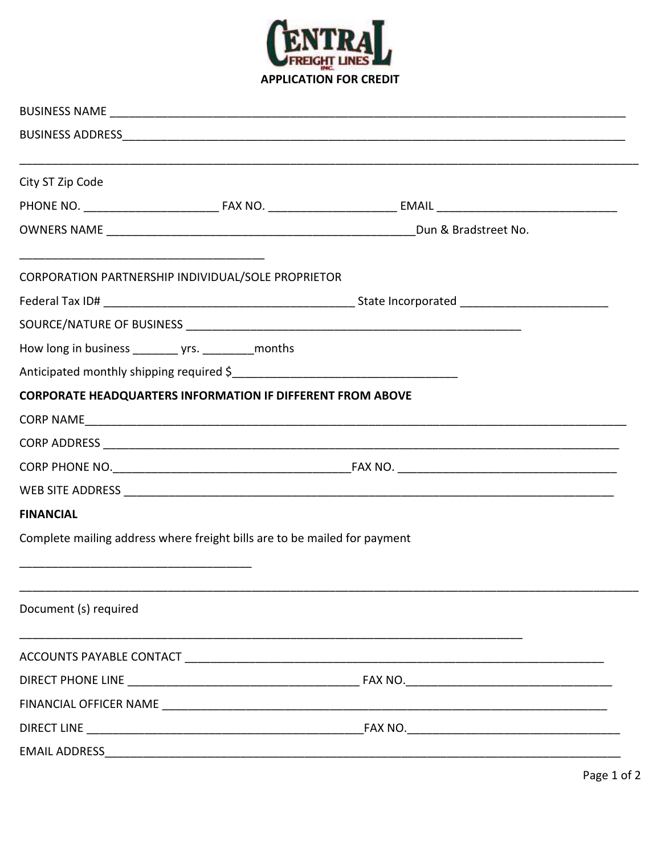

| City ST Zip Code      |                                                                           |  |
|-----------------------|---------------------------------------------------------------------------|--|
|                       |                                                                           |  |
|                       |                                                                           |  |
|                       | CORPORATION PARTNERSHIP INDIVIDUAL/SOLE PROPRIETOR                        |  |
|                       |                                                                           |  |
|                       |                                                                           |  |
|                       |                                                                           |  |
|                       |                                                                           |  |
|                       | <b>CORPORATE HEADQUARTERS INFORMATION IF DIFFERENT FROM ABOVE</b>         |  |
|                       |                                                                           |  |
|                       |                                                                           |  |
|                       |                                                                           |  |
|                       |                                                                           |  |
| <b>FINANCIAL</b>      |                                                                           |  |
|                       | Complete mailing address where freight bills are to be mailed for payment |  |
| Document (s) required |                                                                           |  |
|                       |                                                                           |  |
|                       |                                                                           |  |
|                       |                                                                           |  |
|                       |                                                                           |  |
|                       |                                                                           |  |